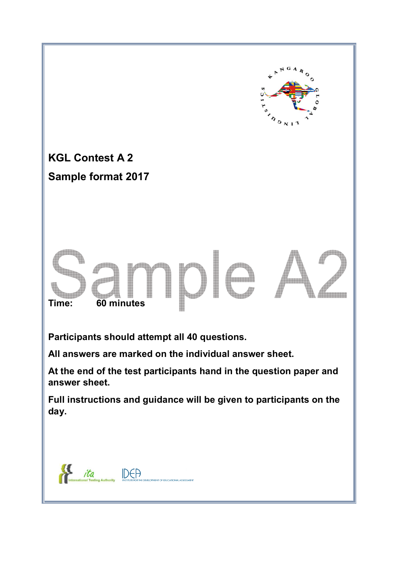

**At the end of the test participants hand in the question paper and answer sheet.** 

**Full instructions and guidance will be given to participants on the day.** 

 $\mathcal{H}$ ita DEA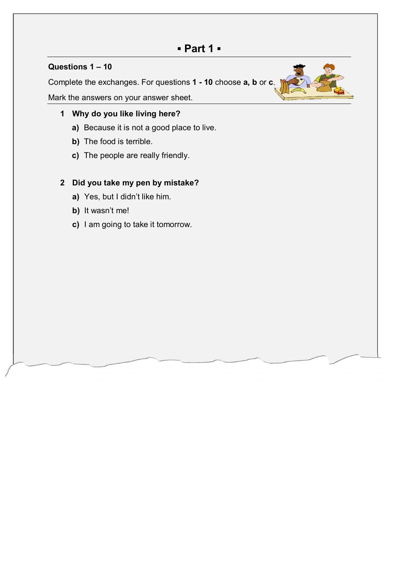## **▪ Part 1 ▪**

### **Questions 1 – 10**

Complete the exchanges. For questions **1 - 10** choose **a, b** or **c**.

Mark the answers on your answer sheet.

## **1 Why do you like living here?**

- **a)** Because it is not a good place to live.
- **b)** The food is terrible.
- **c)** The people are really friendly.

### **2 Did you take my pen by mistake?**

- **a)** Yes, but I didn't like him.
- **b)** It wasn't me!
- **c)** I am going to take it tomorrow.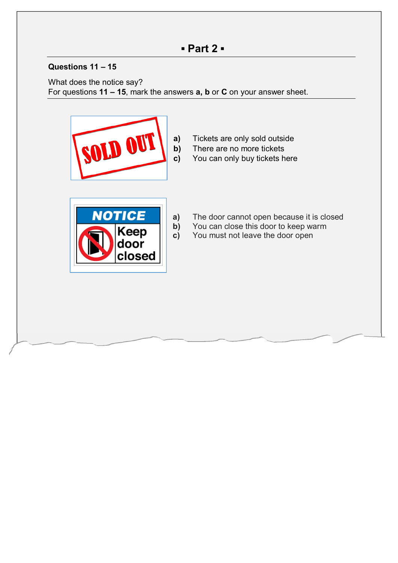## **Questions 11 – 15**

What does the notice say? For questions **11 – 15**, mark the answers **a, b** or **C** on your answer sheet.



**a)** Tickets are only sold outside **b)** There are no more tickets **c)** You can only buy tickets here



- **a)** The door cannot open because it is closed
- **b)** You can close this door to keep warm
- **c)** You must not leave the door open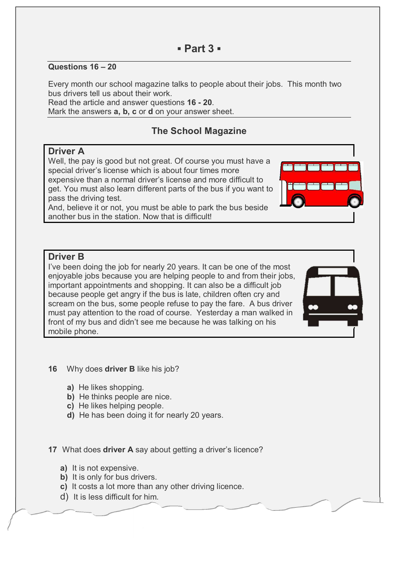### **Questions 16 – 20**

Every month our school magazine talks to people about their jobs. This month two bus drivers tell us about their work.

Read the article and answer questions **16 - 20**. Mark the answers **a, b, c** or **d** on your answer sheet.

## **The School Magazine**

#### **Driver A**

Well, the pay is good but not great. Of course you must have a special driver's license which is about four times more expensive than a normal driver's license and more difficult to get. You must also learn different parts of the bus if you want to pass the driving test.

And, believe it or not, you must be able to park the bus beside another bus in the station. Now that is difficult!

#### **Driver B**

I've been doing the job for nearly 20 years. It can be one of the most enjoyable jobs because you are helping people to and from their jobs, important appointments and shopping. It can also be a difficult job because people get angry if the bus is late, children often cry and scream on the bus, some people refuse to pay the fare. A bus driver must pay attention to the road of course. Yesterday a man walked in front of my bus and didn't see me because he was talking on his mobile phone.



- **16** Why does **driver B** like his job?
	- **a)** He likes shopping.
	- **b)** He thinks people are nice.
	- **c)** He likes helping people.
	- **d)** He has been doing it for nearly 20 years.

**17** What does **driver A** say about getting a driver's licence?

- **a)** It is not expensive.
- **b)** It is only for bus drivers.
- **c)** It costs a lot more than any other driving licence.
- d) It is less difficult for him.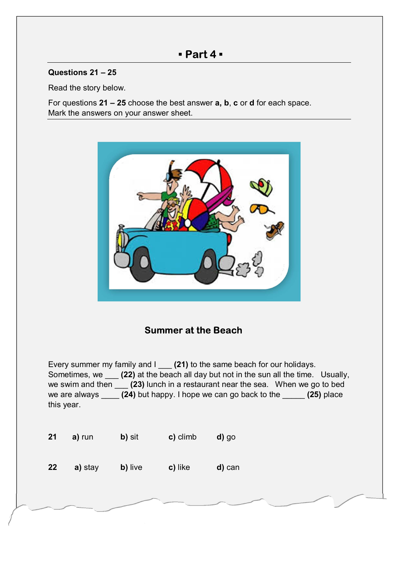## **▪ Part 4 ▪**

### **Questions 21 – 25**

Read the story below.

For questions **21 – 25** choose the best answer **a, b**, **c** or **d** for each space. Mark the answers on your answer sheet.



## **Summer at the Beach**

Every summer my family and I \_\_\_ **(21)** to the same beach for our holidays. Sometimes, we \_\_\_ **(22)** at the beach all day but not in the sun all the time. Usually, we swim and then \_\_\_ **(23)** lunch in a restaurant near the sea. When we go to bed we are always \_\_\_\_ **(24)** but happy. I hope we can go back to the \_\_\_\_\_ **(25)** place this year.

| 21 | a) run  | b) sit  | c) climb | d) go  |
|----|---------|---------|----------|--------|
| 22 | a) stay | b) live | c) like  | d) can |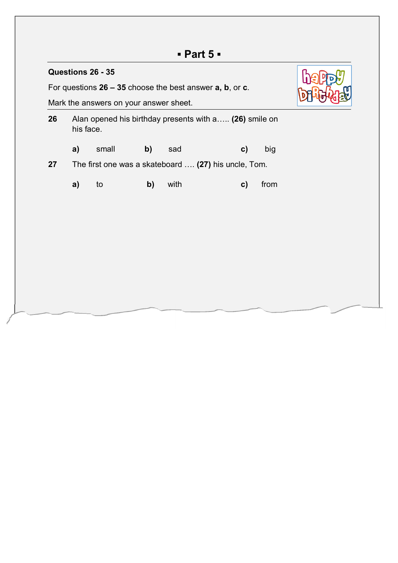# **▪ Part 5 ▪**

| Questions 26 - 35                                             |                                                                     |       |    |      |  |              |      |  |  |
|---------------------------------------------------------------|---------------------------------------------------------------------|-------|----|------|--|--------------|------|--|--|
| For questions $26 - 35$ choose the best answer $a, b, o, c$ . |                                                                     |       |    |      |  |              |      |  |  |
|                                                               | Mark the answers on your answer sheet.                              |       |    |      |  |              |      |  |  |
| 26                                                            | Alan opened his birthday presents with a (26) smile on<br>his face. |       |    |      |  |              |      |  |  |
|                                                               | a)                                                                  | small | b) | sad  |  | C)           | big  |  |  |
| 27                                                            | The first one was a skateboard  (27) his uncle, Tom.                |       |    |      |  |              |      |  |  |
|                                                               | a)                                                                  | to    | b) | with |  | $\mathbf{c}$ | from |  |  |
|                                                               |                                                                     |       |    |      |  |              |      |  |  |
|                                                               |                                                                     |       |    |      |  |              |      |  |  |
|                                                               |                                                                     |       |    |      |  |              |      |  |  |
|                                                               |                                                                     |       |    |      |  |              |      |  |  |
|                                                               |                                                                     |       |    |      |  |              |      |  |  |